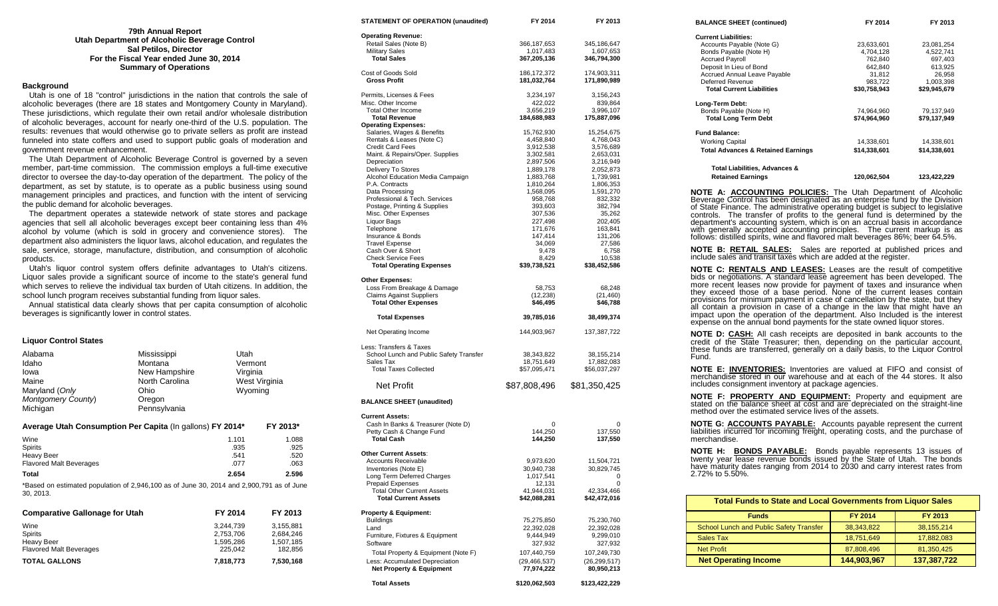| 79th Annual Report                            |
|-----------------------------------------------|
| Utah Department of Alcoholic Beverage Control |
| <b>Sal Petilos, Director</b>                  |
| For the Fiscal Year ended June 30, 2014       |
| <b>Summary of Operations</b>                  |

#### **Background**

 Utah is one of 18 "control" jurisdictions in the nation that controls the sale of alcoholic beverages (there are 18 states and Montgomery County in Maryland). These jurisdictions, which regulate their own retail and/or wholesale distribution of alcoholic beverages, account for nearly one-third of the U.S. population. The results: revenues that would otherwise go to private sellers as profit are instead funneled into state coffers and used to support public goals of moderation and government revenue enhancement.

 The Utah Department of Alcoholic Beverage Control is governed by a seven member, part-time commission. The commission employs a full-time executive director to oversee the day-to-day operation of the department. The policy of the department, as set by statute, is to operate as a public business using sound management principles and practices, and function with the intent of servicing the public demand for alcoholic beverages.

 The department operates a statewide network of state stores and package agencies that sell all alcoholic beverages except beer containing less than 4% alcohol by volume (which is sold in grocery and convenience stores). The department also administers the liquor laws, alcohol education, and regulates the sale, service, storage, manufacture, distribution, and consumption of alcoholic products.

 Utah's liquor control system offers definite advantages to Utah's citizens. Liquor sales provide a significant source of income to the state's general fund which serves to relieve the individual tax burden of Utah citizens. In addition, the school lunch program receives substantial funding from liquor sales.

 Annual statistical data clearly shows that per capita consumption of alcoholic beverages is significantly lower in control states.

## **Liquor Control States**

| Mississippi  | Utah                                       |                                                                                  |
|--------------|--------------------------------------------|----------------------------------------------------------------------------------|
|              |                                            |                                                                                  |
|              |                                            |                                                                                  |
|              |                                            | West Virginia                                                                    |
| Ohio         | Wyoming                                    |                                                                                  |
| Oregon       |                                            |                                                                                  |
| Pennsylvania |                                            |                                                                                  |
|              |                                            | FY 2013*                                                                         |
|              | 1.101                                      | 1.088                                                                            |
|              | .935                                       | .925                                                                             |
|              | .541                                       | .520                                                                             |
|              | .077                                       | .063                                                                             |
|              | Montana<br>New Hampshire<br>North Carolina | Vermont<br>Virginia<br>Average Utah Consumption Per Capita (In gallons) FY 2014* |

**Total 2.654 2.596** \*Based on estimated population of 2,946,100 as of June 30, 2014 and 2,900,791 as of June 30, 2013.

| <b>Comparative Gallonage for Utah</b> | FY 2014   | FY 2013   |
|---------------------------------------|-----------|-----------|
| Wine                                  | 3.244.739 | 3.155.881 |
| <b>Spirits</b>                        | 2,753,706 | 2.684.246 |
| <b>Heavy Beer</b>                     | 1.595.286 | 1.507.185 |
| <b>Flavored Malt Beverages</b>        | 225.042   | 182.856   |
| <b>TOTAL GALLONS</b>                  | 7,818,773 | 7,530,168 |

| <b>SIATEMENT OF OFERATION (unaudited)</b>                             | <b>FIZU14</b>                | <b>FIZUIJ</b>                |
|-----------------------------------------------------------------------|------------------------------|------------------------------|
| <b>Operating Revenue:</b>                                             |                              |                              |
| Retail Sales (Note B)                                                 | 366,187,653                  | 345,186,647                  |
| <b>Military Sales</b>                                                 | 1,017,483                    | 1,607,653                    |
| <b>Total Sales</b>                                                    | 367,205,136                  | 346,794,300                  |
| Cost of Goods Sold                                                    | 186, 172, 372                | 174,903,311                  |
| <b>Gross Profit</b>                                                   | 181,032,764                  | 171,890,989                  |
| Permits, Licenses & Fees                                              | 3,234,197                    | 3,156,243                    |
| Misc. Other Income                                                    | 422,022                      | 839,864                      |
| <b>Total Other Income</b>                                             | 3,656,219                    | 3,996,107                    |
| <b>Total Revenue</b>                                                  | 184,688,983                  | 175,887,096                  |
| <b>Operating Expenses:</b>                                            |                              |                              |
| Salaries, Wages & Benefits                                            | 15,762,930                   | 15,254,675                   |
| Rentals & Leases (Note C)<br><b>Credit Card Fees</b>                  | 4,458,840<br>3,912,538       | 4,768,043<br>3,576,689       |
| Maint. & Repairs/Oper. Supplies                                       | 3,302,581                    | 2,653,031                    |
| Depreciation                                                          | 2,897,506                    | 3,216,949                    |
| Delivery To Stores                                                    | 1,889,178                    | 2,052,873                    |
| Alcohol Education Media Campaign                                      | 1,883,768                    | 1,739,981                    |
| P.A. Contracts                                                        | 1,810,264                    | 1,806,353                    |
| Data Processing                                                       | 1,568,095                    | 1,591,270                    |
| Professional & Tech. Services                                         | 958,768                      | 832,332                      |
| Postage, Printing & Supplies                                          | 393,603                      | 382,794                      |
| Misc. Other Expenses                                                  | 307,536                      | 35,262                       |
| Liquor Bags                                                           | 227,498                      | 202,405                      |
| Telephone                                                             | 171,676                      | 163,841                      |
| Insurance & Bonds                                                     | 147,414                      | 131,206                      |
| <b>Travel Expense</b><br>Cash Over & Short                            | 34,069<br>9,478              | 27,586                       |
| <b>Check Service Fees</b>                                             | 8,429                        | 6,758<br>10,538              |
| <b>Total Operating Expenses</b>                                       | \$39,738,521                 | \$38,452,586                 |
| Other Expenses:                                                       |                              |                              |
| Loss From Breakage & Damage                                           | 58,753                       | 68,248                       |
| <b>Claims Against Suppliers</b>                                       | (12, 238)                    | (21, 460)                    |
| <b>Total Other Expenses</b>                                           | \$46,495                     | \$46,788                     |
| <b>Total Expenses</b>                                                 | 39,785,016                   | 38,499,374                   |
| Net Operating Income                                                  | 144,903,967                  | 137,387,722                  |
| Less: Transfers & Taxes                                               |                              |                              |
| School Lunch and Public Safety Transfer                               | 38,343,822                   | 38, 155, 214                 |
| Sales Tax                                                             | 18,751,649                   | 17,882,083                   |
| <b>Total Taxes Collected</b>                                          | \$57,095,471                 | \$56,037,297                 |
| Net Profit                                                            | \$87,808,496                 | \$81,350,425                 |
| <b>BALANCE SHEET (unaudited)</b>                                      |                              |                              |
| <b>Current Assets:</b>                                                |                              |                              |
| Cash In Banks & Treasurer (Note D)                                    | 0                            | 0                            |
| Petty Cash & Change Fund                                              | 144,250                      | 137,550                      |
| <b>Total Cash</b>                                                     | 144,250                      | 137,550                      |
| Other Current Assets:                                                 |                              |                              |
| <b>Accounts Receivable</b>                                            | 9,973,620                    | 11,504,721                   |
| Inventories (Note E)                                                  | 30,940,738                   | 30,829,745                   |
| Long Term Deferred Charges                                            | 1,017,541                    | 0                            |
| <b>Prepaid Expenses</b>                                               | 12,131                       | 0                            |
| <b>Total Other Current Assets</b>                                     | 41,944,031                   | 42,334,466                   |
| <b>Total Current Assets</b>                                           | \$42,088,281                 | \$42,472,016                 |
| Property & Equipment:                                                 |                              |                              |
| <b>Buildings</b><br>Land                                              | 75,275,850                   | 75,230,760                   |
| Furniture, Fixtures & Equipment                                       | 22,392,028<br>9,444,949      | 22,392,028<br>9,299,010      |
| Software                                                              | 327,932                      |                              |
|                                                                       |                              | 327,932                      |
| Total Property & Equipment (Note F)                                   | 107,440,759                  | 107,249,730                  |
| Less: Accumulated Depreciation<br><b>Net Property &amp; Equipment</b> | (29, 466, 537)<br>77,974,222 | (26, 299, 517)<br>80,950,213 |
|                                                                       |                              |                              |
| <b>Total Assets</b>                                                   | \$120.062.503                | \$123.422.229                |

**STATEMENT OF OPERATION (unaudited) FY 2014 FY 2013**

**BALANCE SHEET (continued) FY 2014 FY 2013 Current Liabilities:** Accounts Payable (Note G) <br>
Bonds Payable (Note H) <br>
23,633,601 23,081,254<br>
24,704,128 4,522,741 Bonds Payable (Note H)  $\overline{4,704,128}$   $\overline{4,522,741}$ <br>Accrued Payroll  $\overline{697,403}$   $\overline{403}$ Accrued Payroll **Accrued Payroll 1** Accrued Payroll **697,403**<br> **Accrued Payroll 120 Accretion** 642,840 643,925 Deposit In Lieu of Bond<br>
Accrued Annual Leave Payable<br>
31,812 6,958 Accrued Annual Leave Payable **31,812** 26,958<br>
Deferred Revenue **26,958**<br>
283,722 1003,398 Deferred Revenue 1,003,398<br>
Total Current Liabilities 1983,758,943<br>
S29,945.679<br>
S29,945.679  **Total Current Liabilities Long-Term Debt:** Bonds Payable (Note H) 74,964,960 79,137,949<br>Total Long Term Debt \$74.964,960 \$79.137.949  **Total Long Term Debt \$74,964,960 \$79,137,949 Fund Balance:** Working Capital 14,338,601 14,338,601  **Total Advances & Retained Earnings \$14,338,601 \$14,338,601 Total Liabilities, Advances & Retained Earnings 120,062,504 123,422,229 NOTE A: ACCOUNTING POLICIES:** The Utah Department of Alcoholic Beverage Control has been designated as an enterprise fund by the Division of State Finance. The administrative operating budget is subject to legislative controls. The transfer of profits to the general fund is determined by the department's accounting system, which is on an accrual basis in accordance with generally accepted accounting principles. The current markup is as follows: distilled spirits, wine and flavored malt beverages 86%; beer 64.5%. **NOTE B: RETAIL SALES:** Sales are reported at published prices and include sales and transit taxes which are added at the register.

**NOTE C: RENTALS AND LEASES:** Leases are the result of competitive bids or negotiations. A standard lease agreement has been developed. The more recent leases now provide for payment of taxes and insurance when they exceed those of a base period. None of the current leases contain provisions for minimum payment in case of cancellation by the state, but they all contain a provision in case of a change in the law that might have an impact upon the operation of the department. Also Included is the interest expense on the annual bond payments for the state owned liquor stores.

**NOTE D: CASH:** All cash receipts are deposited in bank accounts to the credit of the State Treasurer; then, depending on the particular account, these funds are transferred, generally on a daily basis, to the Liquor Control Fund.

**NOTE E: INVENTORIES:** Inventories are valued at FIFO and consist of merchandise stored in our warehouse and at each of the 44 stores. It also includes consignment inventory at package agencies.

**NOTE F: PROPERTY AND EQUIPMENT:** Property and equipment are stated on the balance sheet at cost and are depreciated on the straight-line method over the estimated service lives of the assets.

**NOTE G: ACCOUNTS PAYABLE:** Accounts payable represent the current liabilities incurred for incoming freight, operating costs, and the purchase of merchandise.

**NOTE H: BONDS PAYABLE:** Bonds payable represents 13 issues of twenty year lease revenue bonds issued by the State of Utah. The bonds have maturity dates ranging from 2014 to 2030 and carry interest rates from 2.72% to 5.50%.

| <b>Total Funds to State and Local Governments from Liquor Sales</b> |                |              |  |
|---------------------------------------------------------------------|----------------|--------------|--|
| <b>Funds</b>                                                        | <b>FY 2014</b> | FY 2013      |  |
| School Lunch and Public Safety Transfer                             | 38, 343, 822   | 38, 155, 214 |  |
| Sales Tax                                                           | 18,751,649     | 17,882,083   |  |
| <b>Net Profit</b>                                                   | 87,808,496     | 81,350,425   |  |
| <b>Net Operating Income</b>                                         | 144,903,967    | 137,387,722  |  |